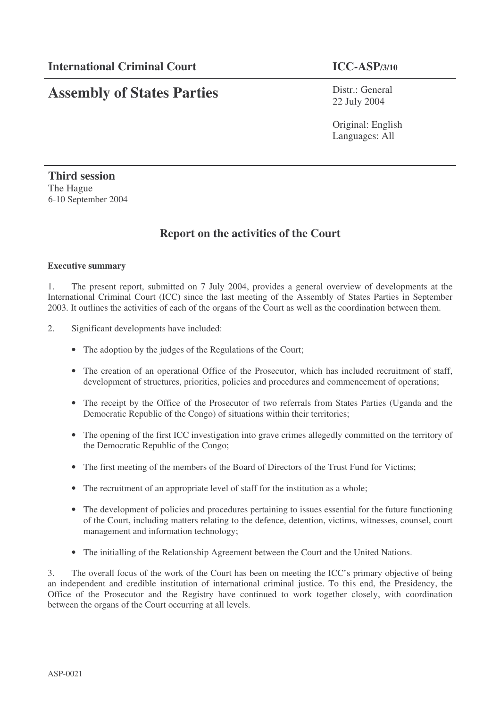# **Assembly of States Parties**

Distr.: General 22 July 2004

Original: English Languages: All

# **Third session** The Hague 6-10 September 2004

# **Report on the activities of the Court**

#### **Executive summary**

1. The present report, submitted on 7 July 2004, provides a general overview of developments at the International Criminal Court (ICC) since the last meeting of the Assembly of States Parties in September 2003. It outlines the activities of each of the organs of the Court as well as the coordination between them.

- 2. Significant developments have included:
	- The adoption by the judges of the Regulations of the Court;
	- The creation of an operational Office of the Prosecutor, which has included recruitment of staff, development of structures, priorities, policies and procedures and commencement of operations;
	- The receipt by the Office of the Prosecutor of two referrals from States Parties (Uganda and the Democratic Republic of the Congo) of situations within their territories;
	- The opening of the first ICC investigation into grave crimes allegedly committed on the territory of the Democratic Republic of the Congo;
	- The first meeting of the members of the Board of Directors of the Trust Fund for Victims;
	- The recruitment of an appropriate level of staff for the institution as a whole;
	- The development of policies and procedures pertaining to issues essential for the future functioning of the Court, including matters relating to the defence, detention, victims, witnesses, counsel, court management and information technology;
	- The initialling of the Relationship Agreement between the Court and the United Nations.

3. The overall focus of the work of the Court has been on meeting the ICC's primary objective of being an independent and credible institution of international criminal justice. To this end, the Presidency, the Office of the Prosecutor and the Registry have continued to work together closely, with coordination between the organs of the Court occurring at all levels.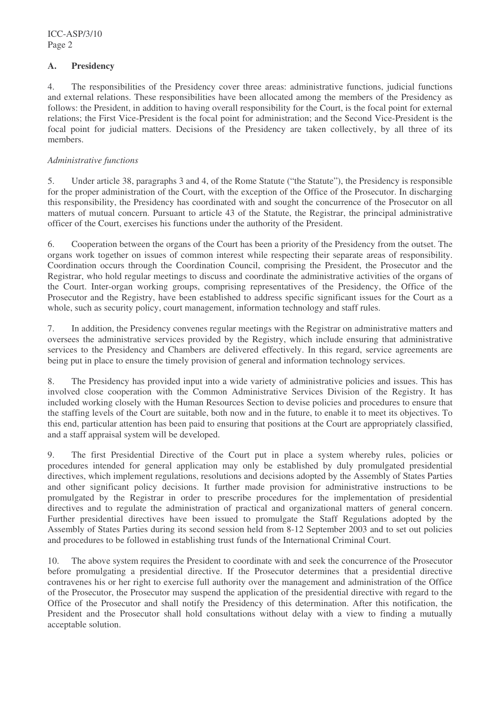### **A. Presidency**

4. The responsibilities of the Presidency cover three areas: administrative functions, judicial functions and external relations. These responsibilities have been allocated among the members of the Presidency as follows: the President, in addition to having overall responsibility for the Court, is the focal point for external relations; the First Vice-President is the focal point for administration; and the Second Vice-President is the focal point for judicial matters. Decisions of the Presidency are taken collectively, by all three of its members.

#### *Administrative functions*

5. Under article 38, paragraphs 3 and 4, of the Rome Statute ("the Statute"), the Presidency is responsible for the proper administration of the Court, with the exception of the Office of the Prosecutor. In discharging this responsibility, the Presidency has coordinated with and sought the concurrence of the Prosecutor on all matters of mutual concern. Pursuant to article 43 of the Statute, the Registrar, the principal administrative officer of the Court, exercises his functions under the authority of the President.

6. Cooperation between the organs of the Court has been a priority of the Presidency from the outset. The organs work together on issues of common interest while respecting their separate areas of responsibility. Coordination occurs through the Coordination Council, comprising the President, the Prosecutor and the Registrar, who hold regular meetings to discuss and coordinate the administrative activities of the organs of the Court. Inter-organ working groups, comprising representatives of the Presidency, the Office of the Prosecutor and the Registry, have been established to address specific significant issues for the Court as a whole, such as security policy, court management, information technology and staff rules.

7. In addition, the Presidency convenes regular meetings with the Registrar on administrative matters and oversees the administrative services provided by the Registry, which include ensuring that administrative services to the Presidency and Chambers are delivered effectively. In this regard, service agreements are being put in place to ensure the timely provision of general and information technology services.

8. The Presidency has provided input into a wide variety of administrative policies and issues. This has involved close cooperation with the Common Administrative Services Division of the Registry. It has included working closely with the Human Resources Section to devise policies and procedures to ensure that the staffing levels of the Court are suitable, both now and in the future, to enable it to meet its objectives. To this end, particular attention has been paid to ensuring that positions at the Court are appropriately classified, and a staff appraisal system will be developed.

9. The first Presidential Directive of the Court put in place a system whereby rules, policies or procedures intended for general application may only be established by duly promulgated presidential directives, which implement regulations, resolutions and decisions adopted by the Assembly of States Parties and other significant policy decisions. It further made provision for administrative instructions to be promulgated by the Registrar in order to prescribe procedures for the implementation of presidential directives and to regulate the administration of practical and organizational matters of general concern. Further presidential directives have been issued to promulgate the Staff Regulations adopted by the Assembly of States Parties during its second session held from 8-12 September 2003 and to set out policies and procedures to be followed in establishing trust funds of the International Criminal Court.

10. The above system requires the President to coordinate with and seek the concurrence of the Prosecutor before promulgating a presidential directive. If the Prosecutor determines that a presidential directive contravenes his or her right to exercise full authority over the management and administration of the Office of the Prosecutor, the Prosecutor may suspend the application of the presidential directive with regard to the Office of the Prosecutor and shall notify the Presidency of this determination. After this notification, the President and the Prosecutor shall hold consultations without delay with a view to finding a mutually acceptable solution.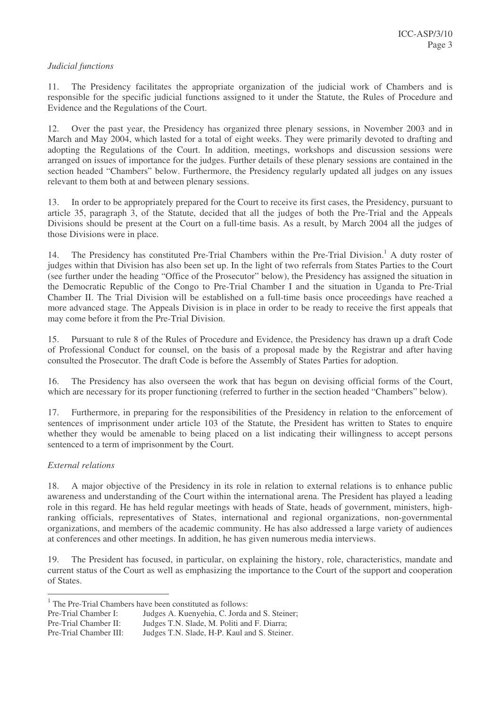#### *Judicial functions*

11. The Presidency facilitates the appropriate organization of the judicial work of Chambers and is responsible for the specific judicial functions assigned to it under the Statute, the Rules of Procedure and Evidence and the Regulations of the Court.

12. Over the past year, the Presidency has organized three plenary sessions, in November 2003 and in March and May 2004, which lasted for a total of eight weeks. They were primarily devoted to drafting and adopting the Regulations of the Court. In addition, meetings, workshops and discussion sessions were arranged on issues of importance for the judges. Further details of these plenary sessions are contained in the section headed "Chambers" below. Furthermore, the Presidency regularly updated all judges on any issues relevant to them both at and between plenary sessions.

13. In order to be appropriately prepared for the Court to receive its first cases, the Presidency, pursuant to article 35, paragraph 3, of the Statute, decided that all the judges of both the Pre-Trial and the Appeals Divisions should be present at the Court on a full-time basis. As a result, by March 2004 all the judges of those Divisions were in place.

14. The Presidency has constituted Pre-Trial Chambers within the Pre-Trial Division.<sup>1</sup> A duty roster of judges within that Division has also been set up. In the light of two referrals from States Parties to the Court (see further under the heading "Office of the Prosecutor" below), the Presidency has assigned the situation in the Democratic Republic of the Congo to Pre-Trial Chamber I and the situation in Uganda to Pre-Trial Chamber II. The Trial Division will be established on a full-time basis once proceedings have reached a more advanced stage. The Appeals Division is in place in order to be ready to receive the first appeals that may come before it from the Pre-Trial Division.

15. Pursuant to rule 8 of the Rules of Procedure and Evidence, the Presidency has drawn up a draft Code of Professional Conduct for counsel, on the basis of a proposal made by the Registrar and after having consulted the Prosecutor. The draft Code is before the Assembly of States Parties for adoption.

16. The Presidency has also overseen the work that has begun on devising official forms of the Court, which are necessary for its proper functioning (referred to further in the section headed "Chambers" below).

17. Furthermore, in preparing for the responsibilities of the Presidency in relation to the enforcement of sentences of imprisonment under article 103 of the Statute, the President has written to States to enquire whether they would be amenable to being placed on a list indicating their willingness to accept persons sentenced to a term of imprisonment by the Court.

#### *External relations*

18. A major objective of the Presidency in its role in relation to external relations is to enhance public awareness and understanding of the Court within the international arena. The President has played a leading role in this regard. He has held regular meetings with heads of State, heads of government, ministers, highranking officials, representatives of States, international and regional organizations, non-governmental organizations, and members of the academic community. He has also addressed a large variety of audiences at conferences and other meetings. In addition, he has given numerous media interviews.

19. The President has focused, in particular, on explaining the history, role, characteristics, mandate and current status of the Court as well as emphasizing the importance to the Court of the support and cooperation of States.

Pre-Trial Chamber II: Judges T.N. Slade, M. Politi and F. Diarra; Pre-Trial Chamber III: Judges T.N. Slade, H-P. Kaul and S. Steiner.

<sup>&</sup>lt;sup>1</sup> The Pre-Trial Chambers have been constituted as follows:

Pre-Trial Chamber I: Judges A. Kuenyehia, C. Jorda and S. Steiner;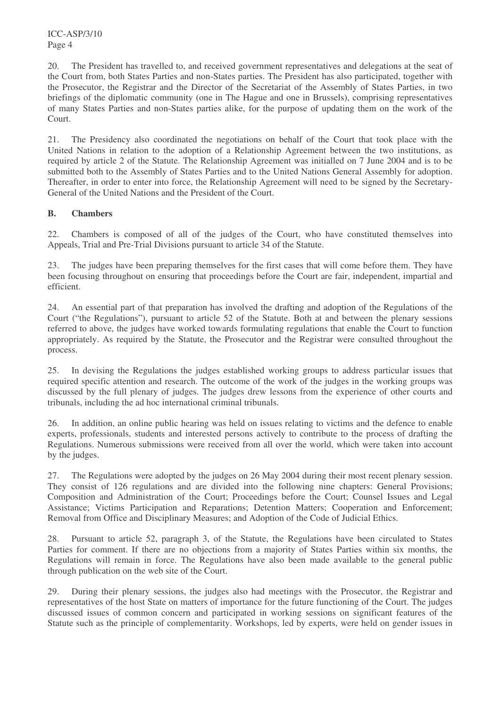20. The President has travelled to, and received government representatives and delegations at the seat of the Court from, both States Parties and non-States parties. The President has also participated, together with the Prosecutor, the Registrar and the Director of the Secretariat of the Assembly of States Parties, in two briefings of the diplomatic community (one in The Hague and one in Brussels), comprising representatives of many States Parties and non-States parties alike, for the purpose of updating them on the work of the Court.

21. The Presidency also coordinated the negotiations on behalf of the Court that took place with the United Nations in relation to the adoption of a Relationship Agreement between the two institutions, as required by article 2 of the Statute. The Relationship Agreement was initialled on 7 June 2004 and is to be submitted both to the Assembly of States Parties and to the United Nations General Assembly for adoption. Thereafter, in order to enter into force, the Relationship Agreement will need to be signed by the Secretary-General of the United Nations and the President of the Court.

# **B. Chambers**

22. Chambers is composed of all of the judges of the Court, who have constituted themselves into Appeals, Trial and Pre-Trial Divisions pursuant to article 34 of the Statute.

23. The judges have been preparing themselves for the first cases that will come before them. They have been focusing throughout on ensuring that proceedings before the Court are fair, independent, impartial and efficient.

24. An essential part of that preparation has involved the drafting and adoption of the Regulations of the Court ("the Regulations"), pursuant to article 52 of the Statute. Both at and between the plenary sessions referred to above, the judges have worked towards formulating regulations that enable the Court to function appropriately. As required by the Statute, the Prosecutor and the Registrar were consulted throughout the process.

25. In devising the Regulations the judges established working groups to address particular issues that required specific attention and research. The outcome of the work of the judges in the working groups was discussed by the full plenary of judges. The judges drew lessons from the experience of other courts and tribunals, including the ad hoc international criminal tribunals.

26. In addition, an online public hearing was held on issues relating to victims and the defence to enable experts, professionals, students and interested persons actively to contribute to the process of drafting the Regulations. Numerous submissions were received from all over the world, which were taken into account by the judges.

27. The Regulations were adopted by the judges on 26 May 2004 during their most recent plenary session. They consist of 126 regulations and are divided into the following nine chapters: General Provisions; Composition and Administration of the Court; Proceedings before the Court; Counsel Issues and Legal Assistance; Victims Participation and Reparations; Detention Matters; Cooperation and Enforcement; Removal from Office and Disciplinary Measures; and Adoption of the Code of Judicial Ethics.

28. Pursuant to article 52, paragraph 3, of the Statute, the Regulations have been circulated to States Parties for comment. If there are no objections from a majority of States Parties within six months, the Regulations will remain in force. The Regulations have also been made available to the general public through publication on the web site of the Court.

29. During their plenary sessions, the judges also had meetings with the Prosecutor, the Registrar and representatives of the host State on matters of importance for the future functioning of the Court. The judges discussed issues of common concern and participated in working sessions on significant features of the Statute such as the principle of complementarity. Workshops, led by experts, were held on gender issues in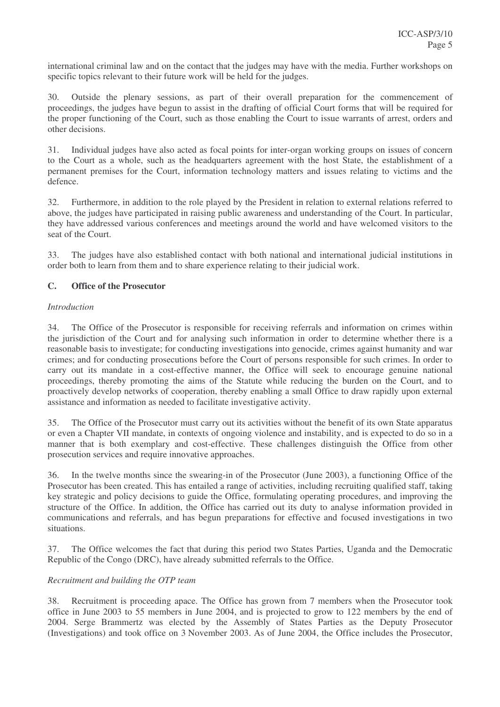international criminal law and on the contact that the judges may have with the media. Further workshops on specific topics relevant to their future work will be held for the judges.

30. Outside the plenary sessions, as part of their overall preparation for the commencement of proceedings, the judges have begun to assist in the drafting of official Court forms that will be required for the proper functioning of the Court, such as those enabling the Court to issue warrants of arrest, orders and other decisions.

31. Individual judges have also acted as focal points for inter-organ working groups on issues of concern to the Court as a whole, such as the headquarters agreement with the host State, the establishment of a permanent premises for the Court, information technology matters and issues relating to victims and the defence.

32. Furthermore, in addition to the role played by the President in relation to external relations referred to above, the judges have participated in raising public awareness and understanding of the Court. In particular, they have addressed various conferences and meetings around the world and have welcomed visitors to the seat of the Court.

33. The judges have also established contact with both national and international judicial institutions in order both to learn from them and to share experience relating to their judicial work.

# **C. Office of the Prosecutor**

#### *Introduction*

34. The Office of the Prosecutor is responsible for receiving referrals and information on crimes within the jurisdiction of the Court and for analysing such information in order to determine whether there is a reasonable basis to investigate; for conducting investigations into genocide, crimes against humanity and war crimes; and for conducting prosecutions before the Court of persons responsible for such crimes. In order to carry out its mandate in a cost-effective manner, the Office will seek to encourage genuine national proceedings, thereby promoting the aims of the Statute while reducing the burden on the Court, and to proactively develop networks of cooperation, thereby enabling a small Office to draw rapidly upon external assistance and information as needed to facilitate investigative activity.

35. The Office of the Prosecutor must carry out its activities without the benefit of its own State apparatus or even a Chapter VII mandate, in contexts of ongoing violence and instability, and is expected to do so in a manner that is both exemplary and cost-effective. These challenges distinguish the Office from other prosecution services and require innovative approaches.

36. In the twelve months since the swearing-in of the Prosecutor (June 2003), a functioning Office of the Prosecutor has been created. This has entailed a range of activities, including recruiting qualified staff, taking key strategic and policy decisions to guide the Office, formulating operating procedures, and improving the structure of the Office. In addition, the Office has carried out its duty to analyse information provided in communications and referrals, and has begun preparations for effective and focused investigations in two situations.

37. The Office welcomes the fact that during this period two States Parties, Uganda and the Democratic Republic of the Congo (DRC), have already submitted referrals to the Office.

# *Recruitment and building the OTP team*

38. Recruitment is proceeding apace. The Office has grown from 7 members when the Prosecutor took office in June 2003 to 55 members in June 2004, and is projected to grow to 122 members by the end of 2004. Serge Brammertz was elected by the Assembly of States Parties as the Deputy Prosecutor (Investigations) and took office on 3 November 2003. As of June 2004, the Office includes the Prosecutor,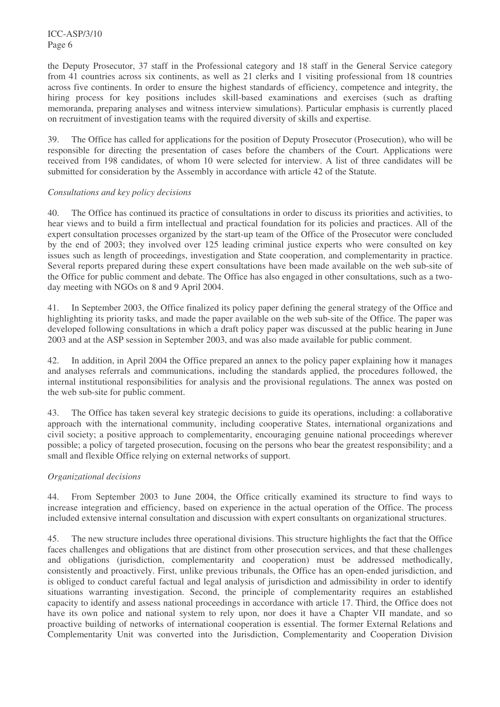the Deputy Prosecutor, 37 staff in the Professional category and 18 staff in the General Service category from 41 countries across six continents, as well as 21 clerks and 1 visiting professional from 18 countries across five continents. In order to ensure the highest standards of efficiency, competence and integrity, the hiring process for key positions includes skill-based examinations and exercises (such as drafting memoranda, preparing analyses and witness interview simulations). Particular emphasis is currently placed on recruitment of investigation teams with the required diversity of skills and expertise.

39. The Office has called for applications for the position of Deputy Prosecutor (Prosecution), who will be responsible for directing the presentation of cases before the chambers of the Court. Applications were received from 198 candidates, of whom 10 were selected for interview. A list of three candidates will be submitted for consideration by the Assembly in accordance with article 42 of the Statute.

# *Consultations and key policy decisions*

40. The Office has continued its practice of consultations in order to discuss its priorities and activities, to hear views and to build a firm intellectual and practical foundation for its policies and practices. All of the expert consultation processes organized by the start-up team of the Office of the Prosecutor were concluded by the end of 2003; they involved over 125 leading criminal justice experts who were consulted on key issues such as length of proceedings, investigation and State cooperation, and complementarity in practice. Several reports prepared during these expert consultations have been made available on the web sub-site of the Office for public comment and debate. The Office has also engaged in other consultations, such as a twoday meeting with NGOs on 8 and 9 April 2004.

41. In September 2003, the Office finalized its policy paper defining the general strategy of the Office and highlighting its priority tasks, and made the paper available on the web sub-site of the Office. The paper was developed following consultations in which a draft policy paper was discussed at the public hearing in June 2003 and at the ASP session in September 2003, and was also made available for public comment.

42. In addition, in April 2004 the Office prepared an annex to the policy paper explaining how it manages and analyses referrals and communications, including the standards applied, the procedures followed, the internal institutional responsibilities for analysis and the provisional regulations. The annex was posted on the web sub-site for public comment.

43. The Office has taken several key strategic decisions to guide its operations, including: a collaborative approach with the international community, including cooperative States, international organizations and civil society; a positive approach to complementarity, encouraging genuine national proceedings wherever possible; a policy of targeted prosecution, focusing on the persons who bear the greatest responsibility; and a small and flexible Office relying on external networks of support.

# *Organizational decisions*

44. From September 2003 to June 2004, the Office critically examined its structure to find ways to increase integration and efficiency, based on experience in the actual operation of the Office. The process included extensive internal consultation and discussion with expert consultants on organizational structures.

45. The new structure includes three operational divisions. This structure highlights the fact that the Office faces challenges and obligations that are distinct from other prosecution services, and that these challenges and obligations (jurisdiction, complementarity and cooperation) must be addressed methodically, consistently and proactively. First, unlike previous tribunals, the Office has an open-ended jurisdiction, and is obliged to conduct careful factual and legal analysis of jurisdiction and admissibility in order to identify situations warranting investigation. Second, the principle of complementarity requires an established capacity to identify and assess national proceedings in accordance with article 17. Third, the Office does not have its own police and national system to rely upon, nor does it have a Chapter VII mandate, and so proactive building of networks of international cooperation is essential. The former External Relations and Complementarity Unit was converted into the Jurisdiction, Complementarity and Cooperation Division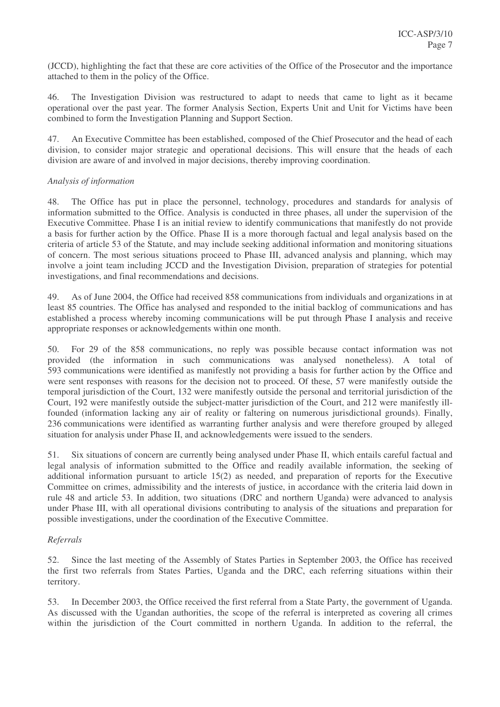(JCCD), highlighting the fact that these are core activities of the Office of the Prosecutor and the importance attached to them in the policy of the Office.

46. The Investigation Division was restructured to adapt to needs that came to light as it became operational over the past year. The former Analysis Section, Experts Unit and Unit for Victims have been combined to form the Investigation Planning and Support Section.

47. An Executive Committee has been established, composed of the Chief Prosecutor and the head of each division, to consider major strategic and operational decisions. This will ensure that the heads of each division are aware of and involved in major decisions, thereby improving coordination.

#### *Analysis of information*

48. The Office has put in place the personnel, technology, procedures and standards for analysis of information submitted to the Office. Analysis is conducted in three phases, all under the supervision of the Executive Committee. Phase I is an initial review to identify communications that manifestly do not provide a basis for further action by the Office. Phase II is a more thorough factual and legal analysis based on the criteria of article 53 of the Statute, and may include seeking additional information and monitoring situations of concern. The most serious situations proceed to Phase III, advanced analysis and planning, which may involve a joint team including JCCD and the Investigation Division, preparation of strategies for potential investigations, and final recommendations and decisions.

49. As of June 2004, the Office had received 858 communications from individuals and organizations in at least 85 countries. The Office has analysed and responded to the initial backlog of communications and has established a process whereby incoming communications will be put through Phase I analysis and receive appropriate responses or acknowledgements within one month.

50. For 29 of the 858 communications, no reply was possible because contact information was not provided (the information in such communications was analysed nonetheless). A total of 593 communications were identified as manifestly not providing a basis for further action by the Office and were sent responses with reasons for the decision not to proceed. Of these, 57 were manifestly outside the temporal jurisdiction of the Court, 132 were manifestly outside the personal and territorial jurisdiction of the Court, 192 were manifestly outside the subject-matter jurisdiction of the Court, and 212 were manifestly illfounded (information lacking any air of reality or faltering on numerous jurisdictional grounds). Finally, 236 communications were identified as warranting further analysis and were therefore grouped by alleged situation for analysis under Phase II, and acknowledgements were issued to the senders.

51. Six situations of concern are currently being analysed under Phase II, which entails careful factual and legal analysis of information submitted to the Office and readily available information, the seeking of additional information pursuant to article 15(2) as needed, and preparation of reports for the Executive Committee on crimes, admissibility and the interests of justice, in accordance with the criteria laid down in rule 48 and article 53. In addition, two situations (DRC and northern Uganda) were advanced to analysis under Phase III, with all operational divisions contributing to analysis of the situations and preparation for possible investigations, under the coordination of the Executive Committee.

# *Referrals*

52. Since the last meeting of the Assembly of States Parties in September 2003, the Office has received the first two referrals from States Parties, Uganda and the DRC, each referring situations within their territory.

53. In December 2003, the Office received the first referral from a State Party, the government of Uganda. As discussed with the Ugandan authorities, the scope of the referral is interpreted as covering all crimes within the jurisdiction of the Court committed in northern Uganda. In addition to the referral, the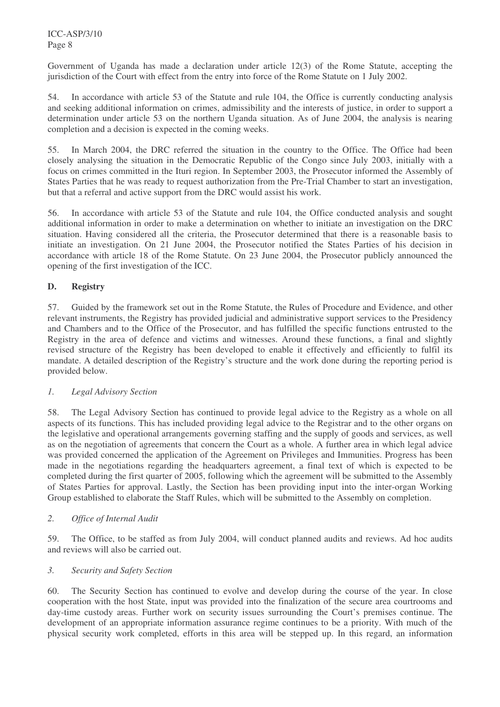Government of Uganda has made a declaration under article 12(3) of the Rome Statute, accepting the jurisdiction of the Court with effect from the entry into force of the Rome Statute on 1 July 2002.

54. In accordance with article 53 of the Statute and rule 104, the Office is currently conducting analysis and seeking additional information on crimes, admissibility and the interests of justice, in order to support a determination under article 53 on the northern Uganda situation. As of June 2004, the analysis is nearing completion and a decision is expected in the coming weeks.

55. In March 2004, the DRC referred the situation in the country to the Office. The Office had been closely analysing the situation in the Democratic Republic of the Congo since July 2003, initially with a focus on crimes committed in the Ituri region. In September 2003, the Prosecutor informed the Assembly of States Parties that he was ready to request authorization from the Pre-Trial Chamber to start an investigation, but that a referral and active support from the DRC would assist his work.

56. In accordance with article 53 of the Statute and rule 104, the Office conducted analysis and sought additional information in order to make a determination on whether to initiate an investigation on the DRC situation. Having considered all the criteria, the Prosecutor determined that there is a reasonable basis to initiate an investigation. On 21 June 2004, the Prosecutor notified the States Parties of his decision in accordance with article 18 of the Rome Statute. On 23 June 2004, the Prosecutor publicly announced the opening of the first investigation of the ICC.

# **D. Registry**

57. Guided by the framework set out in the Rome Statute, the Rules of Procedure and Evidence, and other relevant instruments, the Registry has provided judicial and administrative support services to the Presidency and Chambers and to the Office of the Prosecutor, and has fulfilled the specific functions entrusted to the Registry in the area of defence and victims and witnesses. Around these functions, a final and slightly revised structure of the Registry has been developed to enable it effectively and efficiently to fulfil its mandate. A detailed description of the Registry's structure and the work done during the reporting period is provided below.

# *1. Legal Advisory Section*

58. The Legal Advisory Section has continued to provide legal advice to the Registry as a whole on all aspects of its functions. This has included providing legal advice to the Registrar and to the other organs on the legislative and operational arrangements governing staffing and the supply of goods and services, as well as on the negotiation of agreements that concern the Court as a whole. A further area in which legal advice was provided concerned the application of the Agreement on Privileges and Immunities. Progress has been made in the negotiations regarding the headquarters agreement, a final text of which is expected to be completed during the first quarter of 2005, following which the agreement will be submitted to the Assembly of States Parties for approval. Lastly, the Section has been providing input into the inter-organ Working Group established to elaborate the Staff Rules, which will be submitted to the Assembly on completion.

# *2. Office of Internal Audit*

59. The Office, to be staffed as from July 2004, will conduct planned audits and reviews. Ad hoc audits and reviews will also be carried out.

#### *3. Security and Safety Section*

60. The Security Section has continued to evolve and develop during the course of the year. In close cooperation with the host State, input was provided into the finalization of the secure area courtrooms and day-time custody areas. Further work on security issues surrounding the Court's premises continue. The development of an appropriate information assurance regime continues to be a priority. With much of the physical security work completed, efforts in this area will be stepped up. In this regard, an information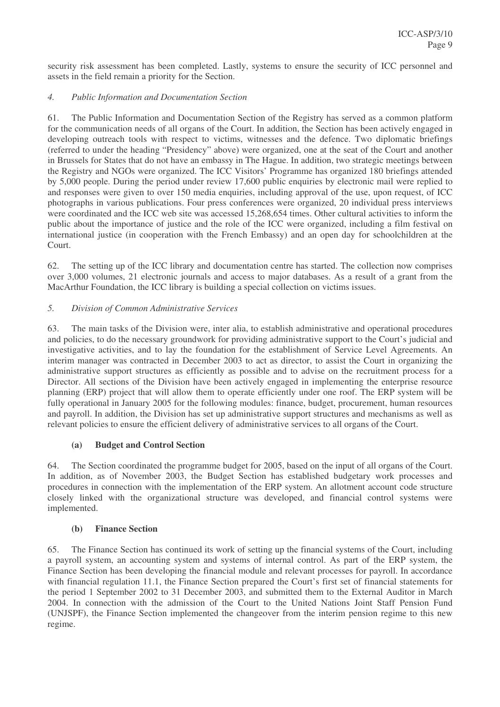security risk assessment has been completed. Lastly, systems to ensure the security of ICC personnel and assets in the field remain a priority for the Section.

### *4. Public Information and Documentation Section*

61. The Public Information and Documentation Section of the Registry has served as a common platform for the communication needs of all organs of the Court. In addition, the Section has been actively engaged in developing outreach tools with respect to victims, witnesses and the defence. Two diplomatic briefings (referred to under the heading "Presidency" above) were organized, one at the seat of the Court and another in Brussels for States that do not have an embassy in The Hague. In addition, two strategic meetings between the Registry and NGOs were organized. The ICC Visitors' Programme has organized 180 briefings attended by 5,000 people. During the period under review 17,600 public enquiries by electronic mail were replied to and responses were given to over 150 media enquiries, including approval of the use, upon request, of ICC photographs in various publications. Four press conferences were organized, 20 individual press interviews were coordinated and the ICC web site was accessed 15,268,654 times. Other cultural activities to inform the public about the importance of justice and the role of the ICC were organized, including a film festival on international justice (in cooperation with the French Embassy) and an open day for schoolchildren at the Court.

62. The setting up of the ICC library and documentation centre has started. The collection now comprises over 3,000 volumes, 21 electronic journals and access to major databases. As a result of a grant from the MacArthur Foundation, the ICC library is building a special collection on victims issues.

# *5. Division of Common Administrative Services*

63. The main tasks of the Division were, inter alia, to establish administrative and operational procedures and policies, to do the necessary groundwork for providing administrative support to the Court's judicial and investigative activities, and to lay the foundation for the establishment of Service Level Agreements. An interim manager was contracted in December 2003 to act as director, to assist the Court in organizing the administrative support structures as efficiently as possible and to advise on the recruitment process for a Director. All sections of the Division have been actively engaged in implementing the enterprise resource planning (ERP) project that will allow them to operate efficiently under one roof. The ERP system will be fully operational in January 2005 for the following modules: finance, budget, procurement, human resources and payroll. In addition, the Division has set up administrative support structures and mechanisms as well as relevant policies to ensure the efficient delivery of administrative services to all organs of the Court.

#### **(a) Budget and Control Section**

64. The Section coordinated the programme budget for 2005, based on the input of all organs of the Court. In addition, as of November 2003, the Budget Section has established budgetary work processes and procedures in connection with the implementation of the ERP system. An allotment account code structure closely linked with the organizational structure was developed, and financial control systems were implemented.

#### **(b) Finance Section**

65. The Finance Section has continued its work of setting up the financial systems of the Court, including a payroll system, an accounting system and systems of internal control. As part of the ERP system, the Finance Section has been developing the financial module and relevant processes for payroll. In accordance with financial regulation 11.1, the Finance Section prepared the Court's first set of financial statements for the period 1 September 2002 to 31 December 2003, and submitted them to the External Auditor in March 2004. In connection with the admission of the Court to the United Nations Joint Staff Pension Fund (UNJSPF), the Finance Section implemented the changeover from the interim pension regime to this new regime.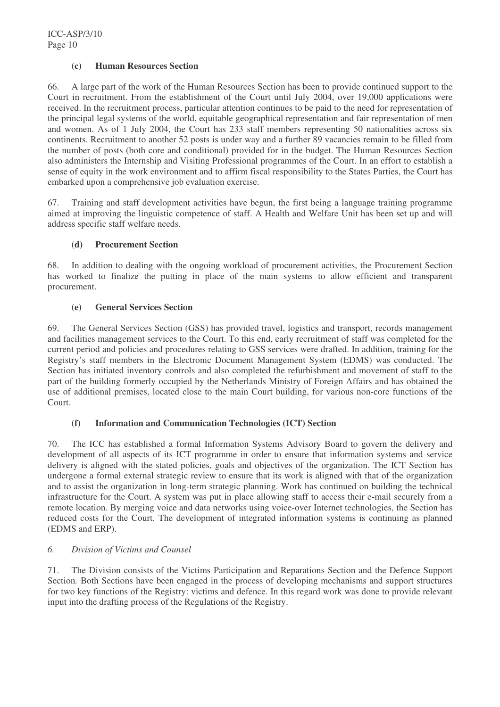### **(c) Human Resources Section**

66. A large part of the work of the Human Resources Section has been to provide continued support to the Court in recruitment. From the establishment of the Court until July 2004, over 19,000 applications were received. In the recruitment process, particular attention continues to be paid to the need for representation of the principal legal systems of the world, equitable geographical representation and fair representation of men and women. As of 1 July 2004, the Court has 233 staff members representing 50 nationalities across six continents. Recruitment to another 52 posts is under way and a further 89 vacancies remain to be filled from the number of posts (both core and conditional) provided for in the budget. The Human Resources Section also administers the Internship and Visiting Professional programmes of the Court. In an effort to establish a sense of equity in the work environment and to affirm fiscal responsibility to the States Parties, the Court has embarked upon a comprehensive job evaluation exercise.

67. Training and staff development activities have begun, the first being a language training programme aimed at improving the linguistic competence of staff. A Health and Welfare Unit has been set up and will address specific staff welfare needs.

#### **(d) Procurement Section**

68. In addition to dealing with the ongoing workload of procurement activities, the Procurement Section has worked to finalize the putting in place of the main systems to allow efficient and transparent procurement.

#### **(e) General Services Section**

69. The General Services Section (GSS) has provided travel, logistics and transport, records management and facilities management services to the Court. To this end, early recruitment of staff was completed for the current period and policies and procedures relating to GSS services were drafted. In addition, training for the Registry's staff members in the Electronic Document Management System (EDMS) was conducted. The Section has initiated inventory controls and also completed the refurbishment and movement of staff to the part of the building formerly occupied by the Netherlands Ministry of Foreign Affairs and has obtained the use of additional premises, located close to the main Court building, for various non-core functions of the Court.

# **(f) Information and Communication Technologies (ICT) Section**

70. The ICC has established a formal Information Systems Advisory Board to govern the delivery and development of all aspects of its ICT programme in order to ensure that information systems and service delivery is aligned with the stated policies, goals and objectives of the organization. The ICT Section has undergone a formal external strategic review to ensure that its work is aligned with that of the organization and to assist the organization in long-term strategic planning. Work has continued on building the technical infrastructure for the Court. A system was put in place allowing staff to access their e-mail securely from a remote location. By merging voice and data networks using voice-over Internet technologies, the Section has reduced costs for the Court. The development of integrated information systems is continuing as planned (EDMS and ERP).

# *6. Division of Victims and Counsel*

71. The Division consists of the Victims Participation and Reparations Section and the Defence Support Section*.* Both Sections have been engaged in the process of developing mechanisms and support structures for two key functions of the Registry: victims and defence. In this regard work was done to provide relevant input into the drafting process of the Regulations of the Registry.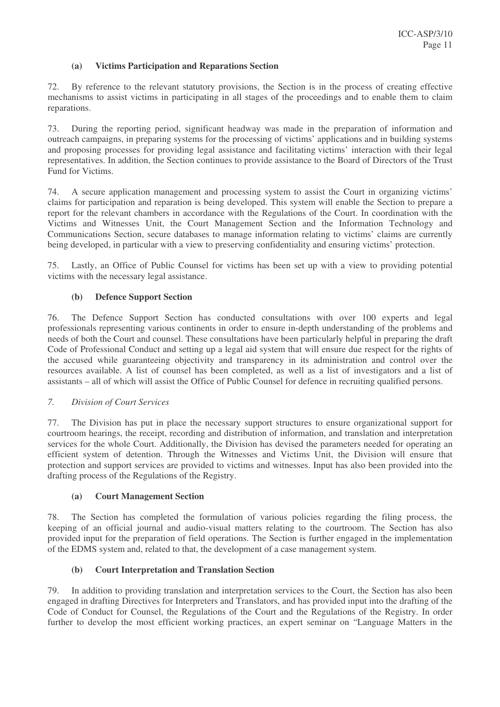#### **(a) Victims Participation and Reparations Section**

72. By reference to the relevant statutory provisions, the Section is in the process of creating effective mechanisms to assist victims in participating in all stages of the proceedings and to enable them to claim reparations.

73. During the reporting period, significant headway was made in the preparation of information and outreach campaigns, in preparing systems for the processing of victims' applications and in building systems and proposing processes for providing legal assistance and facilitating victims' interaction with their legal representatives. In addition, the Section continues to provide assistance to the Board of Directors of the Trust Fund for Victims.

74. A secure application management and processing system to assist the Court in organizing victims' claims for participation and reparation is being developed. This system will enable the Section to prepare a report for the relevant chambers in accordance with the Regulations of the Court. In coordination with the Victims and Witnesses Unit, the Court Management Section and the Information Technology and Communications Section, secure databases to manage information relating to victims' claims are currently being developed, in particular with a view to preserving confidentiality and ensuring victims' protection.

75. Lastly, an Office of Public Counsel for victims has been set up with a view to providing potential victims with the necessary legal assistance.

#### **(b) Defence Support Section**

76. The Defence Support Section has conducted consultations with over 100 experts and legal professionals representing various continents in order to ensure in-depth understanding of the problems and needs of both the Court and counsel. These consultations have been particularly helpful in preparing the draft Code of Professional Conduct and setting up a legal aid system that will ensure due respect for the rights of the accused while guaranteeing objectivity and transparency in its administration and control over the resources available. A list of counsel has been completed, as well as a list of investigators and a list of assistants – all of which will assist the Office of Public Counsel for defence in recruiting qualified persons.

#### *7. Division of Court Services*

77. The Division has put in place the necessary support structures to ensure organizational support for courtroom hearings, the receipt, recording and distribution of information, and translation and interpretation services for the whole Court. Additionally, the Division has devised the parameters needed for operating an efficient system of detention. Through the Witnesses and Victims Unit, the Division will ensure that protection and support services are provided to victims and witnesses. Input has also been provided into the drafting process of the Regulations of the Registry.

#### **(a) Court Management Section**

78. The Section has completed the formulation of various policies regarding the filing process, the keeping of an official journal and audio-visual matters relating to the courtroom. The Section has also provided input for the preparation of field operations. The Section is further engaged in the implementation of the EDMS system and, related to that, the development of a case management system.

# **(b) Court Interpretation and Translation Section**

79. In addition to providing translation and interpretation services to the Court, the Section has also been engaged in drafting Directives for Interpreters and Translators, and has provided input into the drafting of the Code of Conduct for Counsel, the Regulations of the Court and the Regulations of the Registry. In order further to develop the most efficient working practices, an expert seminar on "Language Matters in the